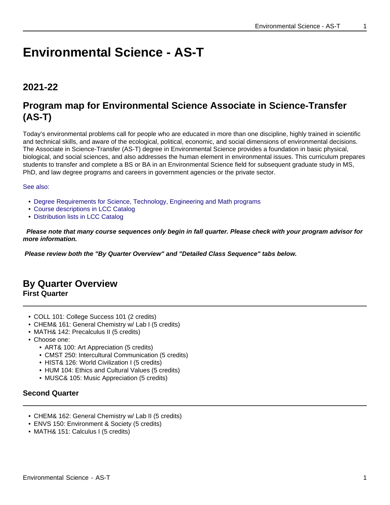# **Environmental Science - AS-T**

# **2021-22**

# **Program map for Environmental Science Associate in Science-Transfer (AS-T)**

Today's environmental problems call for people who are educated in more than one discipline, highly trained in scientific and technical skills, and aware of the ecological, political, economic, and social dimensions of environmental decisions. The Associate in Science-Transfer (AS-T) degree in Environmental Science provides a foundation in basic physical, biological, and social sciences, and also addresses the human element in environmental issues. This curriculum prepares students to transfer and complete a BS or BA in an Environmental Science field for subsequent graduate study in MS, PhD, and law degree programs and careers in government agencies or the private sector.

#### See also:

- Degree Requirements for Science, Technology, Engineering and Math programs
- Course descriptions in LCC Catalog
- Distribution lists in LCC Catalog

 **Please note that many course sequences only begin in fall quarter. Please check with your program advisor for more information.**

**Please review both the "By Quarter Overview" and "Detailed Class Sequence" tabs below.**

# **By Quarter Overview First Quarter**

- COLL 101: College Success 101 (2 credits)
- CHEM& 161: General Chemistry w/ Lab I (5 credits)
- MATH& 142: Precalculus II (5 credits)
- Choose one:
	- ART& 100: Art Appreciation (5 credits)
	- CMST 250: Intercultural Communication (5 credits)
	- HIST& 126: World Civilization I (5 credits)
	- HUM 104: Ethics and Cultural Values (5 credits)
	- MUSC& 105: Music Appreciation (5 credits)

# **Second Quarter**

- CHEM& 162: General Chemistry w/ Lab II (5 credits)
- ENVS 150: Environment & Society (5 credits)
- MATH& 151: Calculus I (5 credits)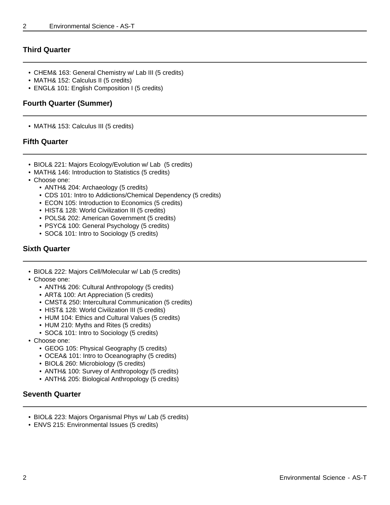## **Third Quarter**

- CHEM& 163: General Chemistry w/ Lab III (5 credits)
- MATH& 152: Calculus II (5 credits)
- ENGL& 101: English Composition I (5 credits)

## **Fourth Quarter (Summer)**

• MATH& 153: Calculus III (5 credits)

### **Fifth Quarter**

- BIOL& 221: Majors Ecology/Evolution w/ Lab (5 credits)
- MATH& 146: Introduction to Statistics (5 credits)
- Choose one:
	- ANTH& 204: Archaeology (5 credits)
	- CDS 101: Intro to Addictions/Chemical Dependency (5 credits)
	- ECON 105: Introduction to Economics (5 credits)
	- HIST& 128: World Civilization III (5 credits)
	- POLS& 202: American Government (5 credits)
	- PSYC& 100: General Psychology (5 credits)
	- SOC& 101: Intro to Sociology (5 credits)

## **Sixth Quarter**

- BIOL& 222: Majors Cell/Molecular w/ Lab (5 credits)
- Choose one:
	- ANTH& 206: Cultural Anthropology (5 credits)
	- ART& 100: Art Appreciation (5 credits)
	- CMST& 250: Intercultural Communication (5 credits)
	- HIST& 128: World Civilization III (5 credits)
	- HUM 104: Ethics and Cultural Values (5 credits)
	- HUM 210: Myths and Rites (5 credits)
	- SOC& 101: Intro to Sociology (5 credits)
- Choose one:
	- GEOG 105: Physical Geography (5 credits)
	- OCEA& 101: Intro to Oceanography (5 credits)
	- BIOL& 260: Microbiology (5 credits)
	- ANTH& 100: Survey of Anthropology (5 credits)
	- ANTH& 205: Biological Anthropology (5 credits)

# **Seventh Quarter**

- BIOL& 223: Majors Organismal Phys w/ Lab (5 credits)
- ENVS 215: Environmental Issues (5 credits)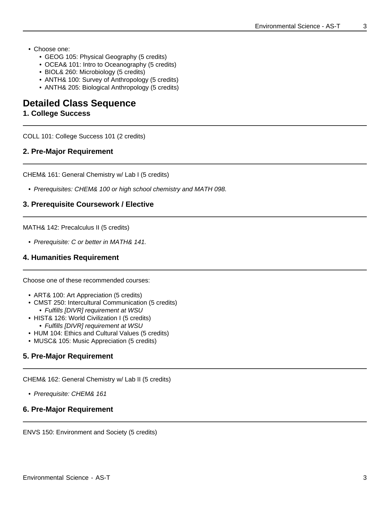- Choose one:
	- GEOG 105: Physical Geography (5 credits)
	- OCEA& 101: Intro to Oceanography (5 credits)
	- BIOL& 260: Microbiology (5 credits)
	- ANTH& 100: Survey of Anthropology (5 credits)
	- ANTH& 205: Biological Anthropology (5 credits)

# **Detailed Class Sequence**

#### **1. College Success**

COLL 101: College Success 101 (2 credits)

#### **2. Pre-Major Requirement**

CHEM& 161: General Chemistry w/ Lab I (5 credits)

• Prerequisites: CHEM& 100 or high school chemistry and MATH 098.

#### **3. Prerequisite Coursework / Elective**

MATH& 142: Precalculus II (5 credits)

• Prerequisite: C or better in MATH& 141.

#### **4. Humanities Requirement**

Choose one of these recommended courses:

- ART& 100: Art Appreciation (5 credits)
- CMST 250: Intercultural Communication (5 credits)
	- Fulfills [DIVR] requirement at WSU
- HIST& 126: World Civilization I (5 credits) • Fulfills [DIVR] requirement at WSU
- HUM 104: Ethics and Cultural Values (5 credits)
- MUSC& 105: Music Appreciation (5 credits)

#### **5. Pre-Major Requirement**

CHEM& 162: General Chemistry w/ Lab II (5 credits)

• Prerequisite: CHEM& 161

#### **6. Pre-Major Requirement**

ENVS 150: Environment and Society (5 credits)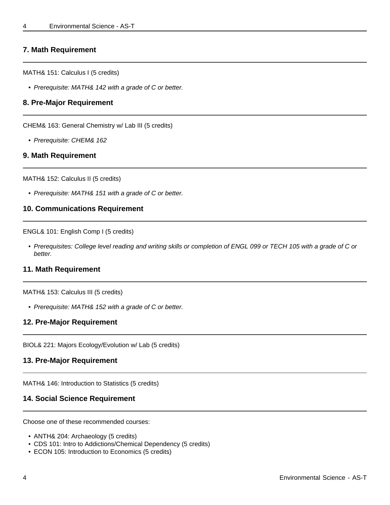#### **7. Math Requirement**

MATH& 151: Calculus I (5 credits)

• Prerequisite: MATH& 142 with a grade of C or better.

#### **8. Pre-Major Requirement**

CHEM& 163: General Chemistry w/ Lab III (5 credits)

• Prerequisite: CHEM& 162

#### **9. Math Requirement**

MATH& 152: Calculus II (5 credits)

• Prerequisite: MATH& 151 with a grade of C or better.

#### **10. Communications Requirement**

ENGL& 101: English Comp I (5 credits)

• Prerequisites: College level reading and writing skills or completion of ENGL 099 or TECH 105 with a grade of C or better.

#### **11. Math Requirement**

MATH& 153: Calculus III (5 credits)

• Prerequisite: MATH& 152 with a grade of C or better.

#### **12. Pre-Major Requirement**

BIOL& 221: Majors Ecology/Evolution w/ Lab (5 credits)

#### **13. Pre-Major Requirement**

MATH& 146: Introduction to Statistics (5 credits)

#### **14. Social Science Requirement**

Choose one of these recommended courses:

- ANTH& 204: Archaeology (5 credits)
- CDS 101: Intro to Addictions/Chemical Dependency (5 credits)
- ECON 105: Introduction to Economics (5 credits)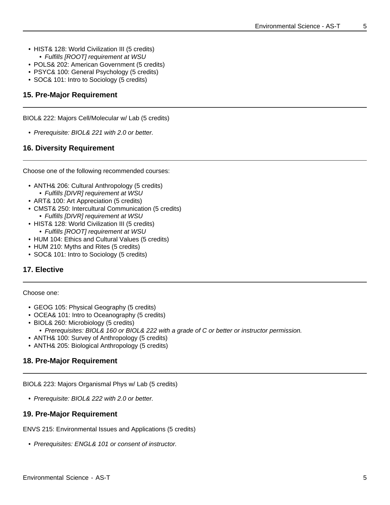- HIST& 128: World Civilization III (5 credits) • Fulfills [ROOT] requirement at WSU
- POLS& 202: American Government (5 credits)
- PSYC& 100: General Psychology (5 credits)
- SOC& 101: Intro to Sociology (5 credits)

#### **15. Pre-Major Requirement**

BIOL& 222: Majors Cell/Molecular w/ Lab (5 credits)

• Prerequisite: BIOL& 221 with 2.0 or better.

#### **16. Diversity Requirement**

Choose one of the following recommended courses:

- ANTH& 206: Cultural Anthropology (5 credits)
	- Fulfills [DIVR] requirement at WSU
- ART& 100: Art Appreciation (5 credits)
- CMST& 250: Intercultural Communication (5 credits)
- Fulfills [DIVR] requirement at WSU • HIST& 128: World Civilization III (5 credits)
- Fulfills [ROOT] requirement at WSU
- HUM 104: Ethics and Cultural Values (5 credits)
- HUM 210: Myths and Rites (5 credits)
- SOC& 101: Intro to Sociology (5 credits)

#### **17. Elective**

#### Choose one:

- GEOG 105: Physical Geography (5 credits)
- OCEA& 101: Intro to Oceanography (5 credits)
- BIOL& 260: Microbiology (5 credits)
	- Prerequisites: BIOL& 160 or BIOL& 222 with a grade of C or better or instructor permission.
- ANTH& 100: Survey of Anthropology (5 credits)
- ANTH& 205: Biological Anthropology (5 credits)

#### **18. Pre-Major Requirement**

BIOL& 223: Majors Organismal Phys w/ Lab (5 credits)

• Prerequisite: BIOL& 222 with 2.0 or better.

#### **19. Pre-Major Requirement**

ENVS 215: Environmental Issues and Applications (5 credits)

• Prerequisites: ENGL& 101 or consent of instructor.